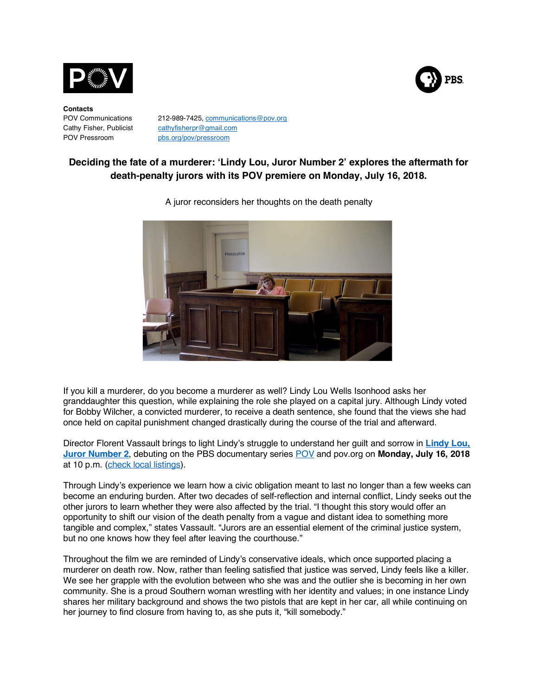

**Contacts** POV Pressroom pbs.org/pov/pressroom

POV Communications 212-989-7425, communications@pov.org Cathy Fisher, Publicist cathyfisherpr@gmail.com

# **Deciding the fate of a murderer: 'Lindy Lou, Juror Number 2' explores the aftermath for death-penalty jurors with its POV premiere on Monday, July 16, 2018.**

**PBS** 



A juror reconsiders her thoughts on the death penalty

If you kill a murderer, do you become a murderer as well? Lindy Lou Wells Isonhood asks her granddaughter this question, while explaining the role she played on a capital jury. Although Lindy voted for Bobby Wilcher, a convicted murderer, to receive a death sentence, she found that the views she had once held on capital punishment changed drastically during the course of the trial and afterward.

Director Florent Vassault brings to light Lindy's struggle to understand her guilt and sorrow in **Lindy Lou, Juror Number 2**, debuting on the PBS documentary series POV and pov.org on **Monday, July 16, 2018** at 10 p.m. (check local listings).

Through Lindy's experience we learn how a civic obligation meant to last no longer than a few weeks can become an enduring burden. After two decades of self-reflection and internal conflict, Lindy seeks out the other jurors to learn whether they were also affected by the trial. "I thought this story would offer an opportunity to shift our vision of the death penalty from a vague and distant idea to something more tangible and complex," states Vassault. "Jurors are an essential element of the criminal justice system, but no one knows how they feel after leaving the courthouse."

Throughout the film we are reminded of Lindy's conservative ideals, which once supported placing a murderer on death row. Now, rather than feeling satisfied that justice was served, Lindy feels like a killer. We see her grapple with the evolution between who she was and the outlier she is becoming in her own community. She is a proud Southern woman wrestling with her identity and values; in one instance Lindy shares her military background and shows the two pistols that are kept in her car, all while continuing on her journey to find closure from having to, as she puts it, "kill somebody."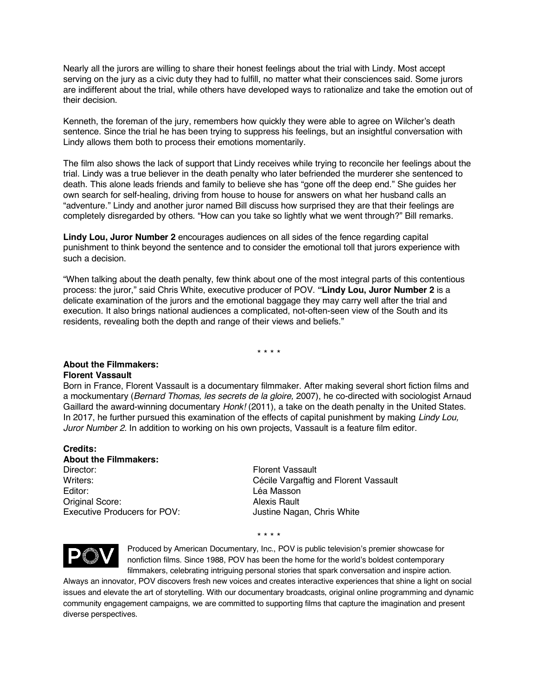Nearly all the jurors are willing to share their honest feelings about the trial with Lindy. Most accept serving on the jury as a civic duty they had to fulfill, no matter what their consciences said. Some jurors are indifferent about the trial, while others have developed ways to rationalize and take the emotion out of their decision.

Kenneth, the foreman of the jury, remembers how quickly they were able to agree on Wilcher's death sentence. Since the trial he has been trying to suppress his feelings, but an insightful conversation with Lindy allows them both to process their emotions momentarily.

The film also shows the lack of support that Lindy receives while trying to reconcile her feelings about the trial. Lindy was a true believer in the death penalty who later befriended the murderer she sentenced to death. This alone leads friends and family to believe she has "gone off the deep end." She guides her own search for self-healing, driving from house to house for answers on what her husband calls an "adventure." Lindy and another juror named Bill discuss how surprised they are that their feelings are completely disregarded by others. "How can you take so lightly what we went through?" Bill remarks.

**Lindy Lou, Juror Number 2** encourages audiences on all sides of the fence regarding capital punishment to think beyond the sentence and to consider the emotional toll that jurors experience with such a decision.

"When talking about the death penalty, few think about one of the most integral parts of this contentious process: the juror," said Chris White, executive producer of POV. **"Lindy Lou, Juror Number 2** is a delicate examination of the jurors and the emotional baggage they may carry well after the trial and execution. It also brings national audiences a complicated, not-often-seen view of the South and its residents, revealing both the depth and range of their views and beliefs."

\* \* \* \*

### **About the Filmmakers: Florent Vassault**

Born in France, Florent Vassault is a documentary filmmaker. After making several short fiction films and a mockumentary (*Bernard Thomas, les secrets de la gloire,* 2007), he co-directed with sociologist Arnaud Gaillard the award-winning documentary *Honk!* (2011), a take on the death penalty in the United States. In 2017, he further pursued this examination of the effects of capital punishment by making *Lindy Lou, Juror Number 2.* In addition to working on his own projects, Vassault is a feature film editor.

## **Credits:**

**About the Filmmakers:** Director: Florent Vassault Editor: Léa Masson Original Score: Alexis Rault Executive Producers for POV: Justine Nagan, Chris White

Writers: Cécile Vargaftig and Florent Vassault

\* \* \* \*



Produced by American Documentary, Inc., POV is public television's premier showcase for nonfiction films. Since 1988, POV has been the home for the world's boldest contemporary filmmakers, celebrating intriguing personal stories that spark conversation and inspire action.

Always an innovator, POV discovers fresh new voices and creates interactive experiences that shine a light on social issues and elevate the art of storytelling. With our documentary broadcasts, original online programming and dynamic community engagement campaigns, we are committed to supporting films that capture the imagination and present diverse perspectives.